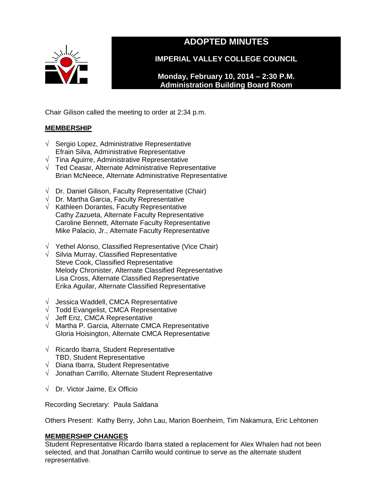

# **ADOPTED MINUTES**

**IMPERIAL VALLEY COLLEGE COUNCIL**

**Monday, February 10, 2014 – 2:30 P.M. Administration Building Board Room** 

Chair Gilison called the meeting to order at 2:34 p.m.

# **MEMBERSHIP**

- √ Sergio Lopez, Administrative Representative Efrain Silva, Administrative Representative
- $\sqrt{\phantom{a}}$  Tina Aguirre, Administrative Representative
- √ Ted Ceasar, Alternate Administrative Representative Brian McNeece, Alternate Administrative Representative
- $\sqrt{ }$  Dr. Daniel Gilison, Faculty Representative (Chair)
- $\sqrt{ }$  Dr. Martha Garcia, Faculty Representative
- $\sqrt{\phantom{a}}$  Kathleen Dorantes, Faculty Representative Cathy Zazueta, Alternate Faculty Representative Caroline Bennett, Alternate Faculty Representative Mike Palacio, Jr., Alternate Faculty Representative
- √ Yethel Alonso, Classified Representative (Vice Chair)
- √ Silvia Murray, Classified Representative Steve Cook, Classified Representative Melody Chronister, Alternate Classified Representative Lisa Cross, Alternate Classified Representative Erika Aguilar, Alternate Classified Representative
- $\sqrt{\phantom{a}}$  Jessica Waddell, CMCA Representative
- √ Todd Evangelist, CMCA Representative
- √ Jeff Enz, CMCA Representative
- √ Martha P. Garcia, Alternate CMCA Representative Gloria Hoisington, Alternate CMCA Representative
- √ Ricardo Ibarra, Student Representative TBD, Student Representative
- $\sqrt{\phantom{a}}$  Diana Ibarra, Student Representative
- √ Jonathan Carrillo, Alternate Student Representative
- √ Dr. Victor Jaime, Ex Officio

Recording Secretary: Paula Saldana

Others Present: Kathy Berry, John Lau, Marion Boenheim, Tim Nakamura, Eric Lehtonen

### **MEMBERSHIP CHANGES**

Student Representative Ricardo Ibarra stated a replacement for Alex Whalen had not been selected, and that Jonathan Carrillo would continue to serve as the alternate student representative.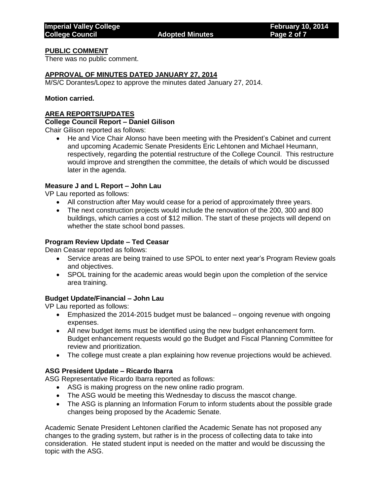### **PUBLIC COMMENT**

There was no public comment.

### **APPROVAL OF MINUTES DATED JANUARY 27, 2014**

M/S/C Dorantes/Lopez to approve the minutes dated January 27, 2014.

### **Motion carried.**

### **AREA REPORTS/UPDATES**

**College Council Report – Daniel Gilison**

Chair Gilison reported as follows:

 He and Vice Chair Alonso have been meeting with the President's Cabinet and current and upcoming Academic Senate Presidents Eric Lehtonen and Michael Heumann, respectively, regarding the potential restructure of the College Council. This restructure would improve and strengthen the committee, the details of which would be discussed later in the agenda.

### **Measure J and L Report – John Lau**

VP Lau reported as follows:

- All construction after May would cease for a period of approximately three years.
- The next construction projects would include the renovation of the 200, 300 and 800 buildings, which carries a cost of \$12 million. The start of these projects will depend on whether the state school bond passes.

### **Program Review Update – Ted Ceasar**

Dean Ceasar reported as follows:

- Service areas are being trained to use SPOL to enter next year's Program Review goals and objectives.
- SPOL training for the academic areas would begin upon the completion of the service area training.

### **Budget Update/Financial – John Lau**

VP Lau reported as follows:

- Emphasized the 2014-2015 budget must be balanced ongoing revenue with ongoing expenses.
- All new budget items must be identified using the new budget enhancement form. Budget enhancement requests would go the Budget and Fiscal Planning Committee for review and prioritization.
- The college must create a plan explaining how revenue projections would be achieved.

### **ASG President Update – Ricardo Ibarra**

ASG Representative Ricardo Ibarra reported as follows:

- ASG is making progress on the new online radio program.
- The ASG would be meeting this Wednesday to discuss the mascot change.
- The ASG is planning an Information Forum to inform students about the possible grade changes being proposed by the Academic Senate.

Academic Senate President Lehtonen clarified the Academic Senate has not proposed any changes to the grading system, but rather is in the process of collecting data to take into consideration. He stated student input is needed on the matter and would be discussing the topic with the ASG.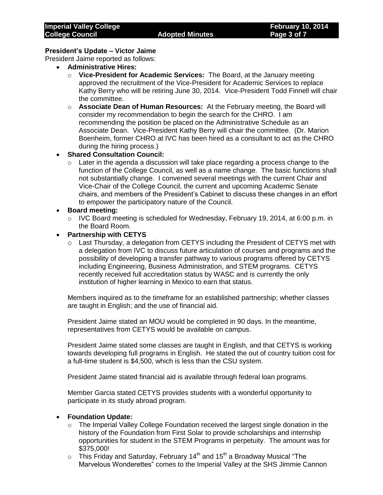# **President's Update – Victor Jaime**

President Jaime reported as follows:

- **Administrative Hires:**
	- o **Vice-President for Academic Services:** The Board, at the January meeting approved the recruitment of the Vice-President for Academic Services to replace Kathy Berry who will be retiring June 30, 2014. Vice-President Todd Finnell will chair the committee.
	- o **Associate Dean of Human Resources:** At the February meeting, the Board will consider my recommendation to begin the search for the CHRO. I am recommending the position be placed on the Administrative Schedule as an Associate Dean. Vice-President Kathy Berry will chair the committee. (Dr. Marion Boenheim, former CHRO at IVC has been hired as a consultant to act as the CHRO during the hiring process.)
- **Shared Consultation Council:**
	- $\circ$  Later in the agenda a discussion will take place regarding a process change to the function of the College Council, as well as a name change. The basic functions shall not substantially change. I convened several meetings with the current Chair and Vice-Chair of the College Council, the current and upcoming Academic Senate chairs, and members of the President's Cabinet to discuss these changes in an effort to empower the participatory nature of the Council.
- **Board meeting:**
	- $\circ$  IVC Board meeting is scheduled for Wednesday, February 19, 2014, at 6:00 p.m. in the Board Room.
- **Partnership with CETYS**
	- $\circ$  Last Thursday, a delegation from CETYS including the President of CETYS met with a delegation from IVC to discuss future articulation of courses and programs and the possibility of developing a transfer pathway to various programs offered by CETYS including Engineering, Business Administration, and STEM programs. CETYS recently received full accreditation status by WASC and is currently the only institution of higher learning in Mexico to earn that status.

Members inquired as to the timeframe for an established partnership; whether classes are taught in English; and the use of financial aid.

President Jaime stated an MOU would be completed in 90 days. In the meantime, representatives from CETYS would be available on campus.

President Jaime stated some classes are taught in English, and that CETYS is working towards developing full programs in English. He stated the out of country tuition cost for a full-time student is \$4,500, which is less than the CSU system.

President Jaime stated financial aid is available through federal loan programs.

Member Garcia stated CETYS provides students with a wonderful opportunity to participate in its study abroad program.

### **Foundation Update:**

- $\circ$  The Imperial Valley College Foundation received the largest single donation in the history of the Foundation from First Solar to provide scholarships and internship opportunities for student in the STEM Programs in perpetuity. The amount was for \$375,000!
- $\circ$  This Friday and Saturday, February 14<sup>th</sup> and 15<sup>th</sup> a Broadway Musical "The Marvelous Wonderettes" comes to the Imperial Valley at the SHS Jimmie Cannon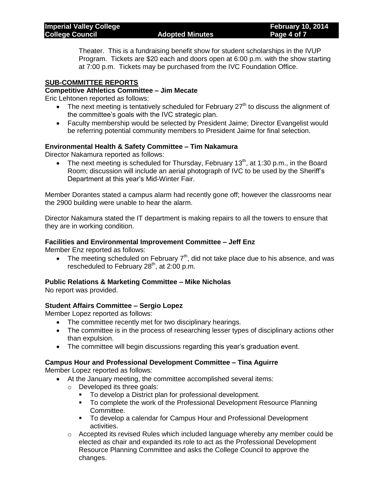Theater. This is a fundraising benefit show for student scholarships in the IVUP Program. Tickets are \$20 each and doors open at 6:00 p.m. with the show starting at 7:00 p.m. Tickets may be purchased from the IVC Foundation Office.

## **SUB-COMMITTEE REPORTS**

### **Competitive Athletics Committee – Jim Mecate**

Eric Lehtonen reported as follows:

- The next meeting is tentatively scheduled for February  $27<sup>th</sup>$  to discuss the alignment of the committee's goals with the IVC strategic plan.
- Faculty membership would be selected by President Jaime; Director Evangelist would be referring potential community members to President Jaime for final selection.

### **Environmental Health & Safety Committee – Tim Nakamura**

Director Nakamura reported as follows:

• The next meeting is scheduled for Thursday, February 13<sup>th</sup>, at 1:30 p.m., in the Board Room; discussion will include an aerial photograph of IVC to be used by the Sheriff's Department at this year's Mid-Winter Fair.

Member Dorantes stated a campus alarm had recently gone off; however the classrooms near the 2900 building were unable to hear the alarm.

Director Nakamura stated the IT department is making repairs to all the towers to ensure that they are in working condition.

### **Facilities and Environmental Improvement Committee – Jeff Enz**

Member Enz reported as follows:

• The meeting scheduled on February  $7<sup>th</sup>$ , did not take place due to his absence, and was rescheduled to February  $28<sup>th</sup>$ , at 2:00 p.m.

#### **Public Relations & Marketing Committee – Mike Nicholas**

No report was provided.

#### **Student Affairs Committee – Sergio Lopez**

Member Lopez reported as follows:

- The committee recently met for two disciplinary hearings.
- The committee is in the process of researching lesser types of disciplinary actions other than expulsion.
- The committee will begin discussions regarding this year's graduation event.

#### **Campus Hour and Professional Development Committee – Tina Aguirre** Member Lopez reported as follows:

- At the January meeting, the committee accomplished several items:
	- o Developed its three goals:
		- **To develop a District plan for professional development.**
		- To complete the work of the Professional Development Resource Planning Committee.
		- **To develop a calendar for Campus Hour and Professional Development** activities.
	- $\circ$  Accepted its revised Rules which included language whereby any member could be elected as chair and expanded its role to act as the Professional Development Resource Planning Committee and asks the College Council to approve the changes.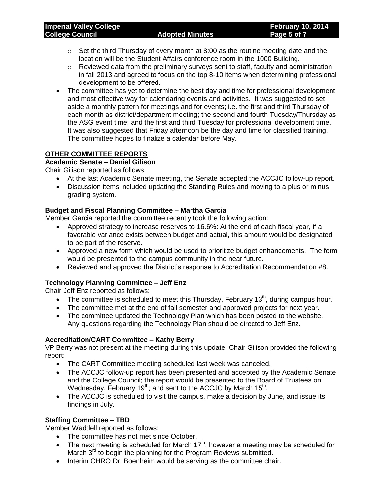- $\circ$  Set the third Thursday of every month at 8:00 as the routine meeting date and the location will be the Student Affairs conference room in the 1000 Building.
- $\circ$  Reviewed data from the preliminary surveys sent to staff, faculty and administration in fall 2013 and agreed to focus on the top 8-10 items when determining professional development to be offered.
- The committee has yet to determine the best day and time for professional development and most effective way for calendaring events and activities. It was suggested to set aside a monthly pattern for meetings and for events; i.e. the first and third Thursday of each month as district/department meeting; the second and fourth Tuesday/Thursday as the ASG event time; and the first and third Tuesday for professional development time. It was also suggested that Friday afternoon be the day and time for classified training. The committee hopes to finalize a calendar before May.

### **OTHER COMMITTEE REPORTS**

### **Academic Senate – Daniel Gilison**

Chair Gilison reported as follows:

- At the last Academic Senate meeting, the Senate accepted the ACCJC follow-up report.
- Discussion items included updating the Standing Rules and moving to a plus or minus grading system.

### **Budget and Fiscal Planning Committee – Martha Garcia**

Member Garcia reported the committee recently took the following action:

- Approved strategy to increase reserves to 16.6%: At the end of each fiscal year, if a favorable variance exists between budget and actual, this amount would be designated to be part of the reserve.
- Approved a new form which would be used to prioritize budget enhancements. The form would be presented to the campus community in the near future.
- Reviewed and approved the District's response to Accreditation Recommendation #8.

### **Technology Planning Committee – Jeff Enz**

Chair Jeff Enz reported as follows:

- The committee is scheduled to meet this Thursday, February  $13<sup>th</sup>$ , during campus hour.
- The committee met at the end of fall semester and approved projects for next year.
- The committee updated the Technology Plan which has been posted to the website. Any questions regarding the Technology Plan should be directed to Jeff Enz.

### **Accreditation/CART Committee – Kathy Berry**

VP Berry was not present at the meeting during this update; Chair Gilison provided the following report:

- The CART Committee meeting scheduled last week was canceled.
- The ACCJC follow-up report has been presented and accepted by the Academic Senate and the College Council; the report would be presented to the Board of Trustees on Wednesday, February 19<sup>th</sup>; and sent to the ACCJC by March 15<sup>th</sup>.
- The ACCJC is scheduled to visit the campus, make a decision by June, and issue its findings in July.

### **Staffing Committee – TBD**

Member Waddell reported as follows:

- The committee has not met since October.
- The next meeting is scheduled for March  $17<sup>th</sup>$ ; however a meeting may be scheduled for March 3<sup>rd</sup> to begin the planning for the Program Reviews submitted.
- Interim CHRO Dr. Boenheim would be serving as the committee chair.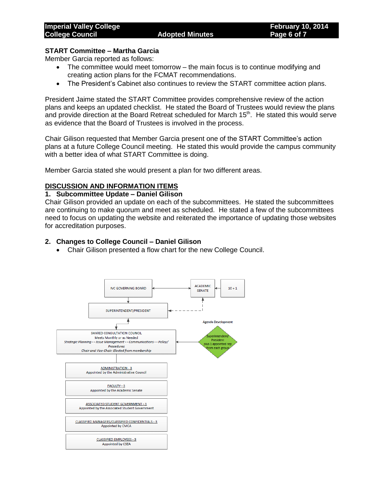#### **START Committee – Martha Garcia**

Member Garcia reported as follows:

- The committee would meet tomorrow the main focus is to continue modifying and creating action plans for the FCMAT recommendations.
- The President's Cabinet also continues to review the START committee action plans.

President Jaime stated the START Committee provides comprehensive review of the action plans and keeps an updated checklist. He stated the Board of Trustees would review the plans and provide direction at the Board Retreat scheduled for March 15<sup>th</sup>. He stated this would serve as evidence that the Board of Trustees is involved in the process.

Chair Gilison requested that Member Garcia present one of the START Committee's action plans at a future College Council meeting. He stated this would provide the campus community with a better idea of what START Committee is doing.

Member Garcia stated she would present a plan for two different areas.

#### **DISCUSSION AND INFORMATION ITEMS**

#### **1. Subcommittee Update – Daniel Gilison**

Chair Gilison provided an update on each of the subcommittees. He stated the subcommittees are continuing to make quorum and meet as scheduled. He stated a few of the subcommittees need to focus on updating the website and reiterated the importance of updating those websites for accreditation purposes.

#### **2. Changes to College Council – Daniel Gilison**

Chair Gilison presented a flow chart for the new College Council.